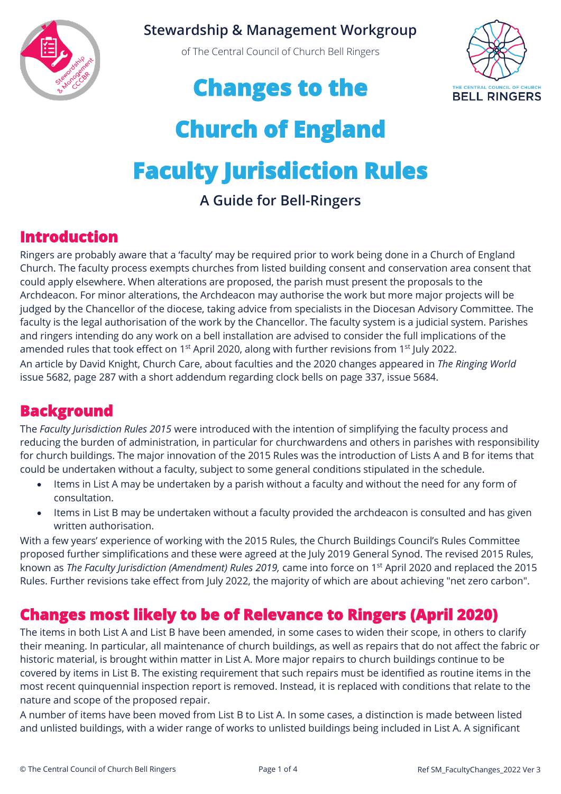

#### **Stewardship & Management Workgroup**

of The Central Council of Church Bell Ringers



## **Changes to the**

# **Church of England Faculty Jurisdiction Rules A Guide for Bell-Ringers**

## **Introduction**

Ringers are probably aware that a 'faculty' may be required prior to work being done in a Church of England Church. The faculty process exempts churches from listed building consent and conservation area consent that could apply elsewhere. When alterations are proposed, the parish must present the proposals to the Archdeacon. For minor alterations, the Archdeacon may authorise the work but more major projects will be judged by the Chancellor of the diocese, taking advice from specialists in the Diocesan Advisory Committee. The faculty is the legal authorisation of the work by the Chancellor. The faculty system is a judicial system. Parishes and ringers intending do any work on a bell installation are advised to consider the full implications of the amended rules that took effect on 1<sup>st</sup> April 2020, along with further revisions from 1<sup>st</sup> July 2022. An article by David Knight, Church Care, about faculties and the 2020 changes appeared in *The Ringing World* issue 5682, page 287 with a short addendum regarding clock bells on page 337, issue 5684.

### **Background**

The *Faculty Jurisdiction Rules 2015* were introduced with the intention of simplifying the faculty process and reducing the burden of administration, in particular for churchwardens and others in parishes with responsibility for church buildings. The major innovation of the 2015 Rules was the introduction of Lists A and B for items that could be undertaken without a faculty, subject to some general conditions stipulated in the schedule.

- Items in List A may be undertaken by a parish without a faculty and without the need for any form of consultation.
- Items in List B may be undertaken without a faculty provided the archdeacon is consulted and has given written authorisation.

With a few years' experience of working with the 2015 Rules, the Church Buildings Council's Rules Committee proposed further simplifications and these were agreed at the July 2019 General Synod. The revised 2015 Rules, known as *The Faculty Jurisdiction (Amendment) Rules 2019,* came into force on 1st April 2020 and replaced the 2015 Rules. Further revisions take effect from July 2022, the majority of which are about achieving "net zero carbon".

## **Changes most likely to be of Relevance to Ringers (April 2020)**

The items in both List A and List B have been amended, in some cases to widen their scope, in others to clarify their meaning. In particular, all maintenance of church buildings, as well as repairs that do not affect the fabric or historic material, is brought within matter in List A. More major repairs to church buildings continue to be covered by items in List B. The existing requirement that such repairs must be identified as routine items in the most recent quinquennial inspection report is removed. Instead, it is replaced with conditions that relate to the nature and scope of the proposed repair.

A number of items have been moved from List B to List A. In some cases, a distinction is made between listed and unlisted buildings, with a wider range of works to unlisted buildings being included in List A. A significant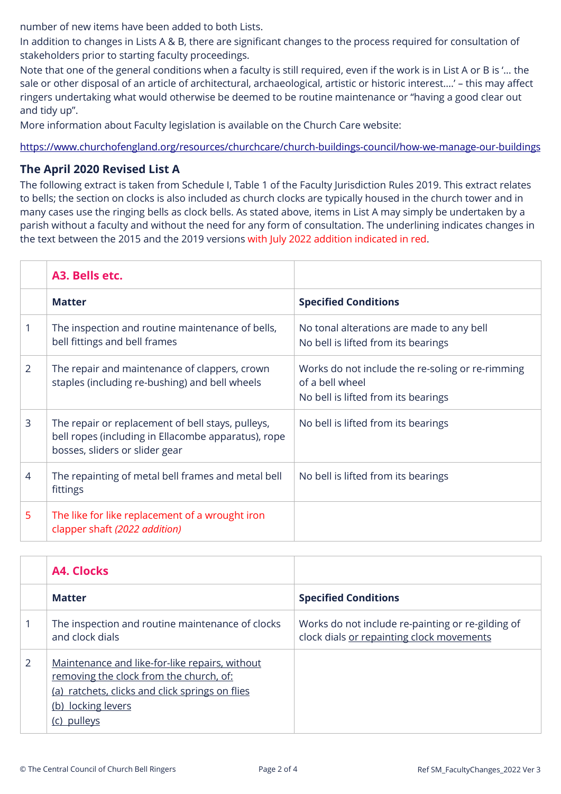number of new items have been added to both Lists.

In addition to changes in Lists A & B, there are significant changes to the process required for consultation of stakeholders prior to starting faculty proceedings.

Note that one of the general conditions when a faculty is still required, even if the work is in List A or B is '… the sale or other disposal of an article of architectural, archaeological, artistic or historic interest….' – this may affect ringers undertaking what would otherwise be deemed to be routine maintenance or "having a good clear out and tidy up".

More information about Faculty legislation is available on the Church Care website:

<https://www.churchofengland.org/resources/churchcare/church-buildings-council/how-we-manage-our-buildings>

#### **The April 2020 Revised List A**

The following extract is taken from Schedule I, Table 1 of the Faculty Jurisdiction Rules 2019. This extract relates to bells; the section on clocks is also included as church clocks are typically housed in the church tower and in many cases use the ringing bells as clock bells. As stated above, items in List A may simply be undertaken by a parish without a faculty and without the need for any form of consultation. The underlining indicates changes in the text between the 2015 and the 2019 versions with July 2022 addition indicated in red.

|   | A3. Bells etc.                                                                                                                             |                                                                                                            |
|---|--------------------------------------------------------------------------------------------------------------------------------------------|------------------------------------------------------------------------------------------------------------|
|   | <b>Matter</b>                                                                                                                              | <b>Specified Conditions</b>                                                                                |
|   | The inspection and routine maintenance of bells,<br>bell fittings and bell frames                                                          | No tonal alterations are made to any bell<br>No bell is lifted from its bearings                           |
| 2 | The repair and maintenance of clappers, crown<br>staples (including re-bushing) and bell wheels                                            | Works do not include the re-soling or re-rimming<br>of a bell wheel<br>No bell is lifted from its bearings |
| 3 | The repair or replacement of bell stays, pulleys,<br>bell ropes (including in Ellacombe apparatus), rope<br>bosses, sliders or slider gear | No bell is lifted from its bearings                                                                        |
| 4 | The repainting of metal bell frames and metal bell<br>fittings                                                                             | No bell is lifted from its bearings                                                                        |
| 5 | The like for like replacement of a wrought iron<br>clapper shaft (2022 addition)                                                           |                                                                                                            |

|   | A4. Clocks                                                                                                                                                                    |                                                                                                |
|---|-------------------------------------------------------------------------------------------------------------------------------------------------------------------------------|------------------------------------------------------------------------------------------------|
|   | <b>Matter</b>                                                                                                                                                                 | <b>Specified Conditions</b>                                                                    |
|   | The inspection and routine maintenance of clocks<br>and clock dials                                                                                                           | Works do not include re-painting or re-gilding of<br>clock dials or repainting clock movements |
| 2 | Maintenance and like-for-like repairs, without<br>removing the clock from the church, of:<br>(a) ratchets, clicks and click springs on flies<br>(b) locking levers<br>pulleys |                                                                                                |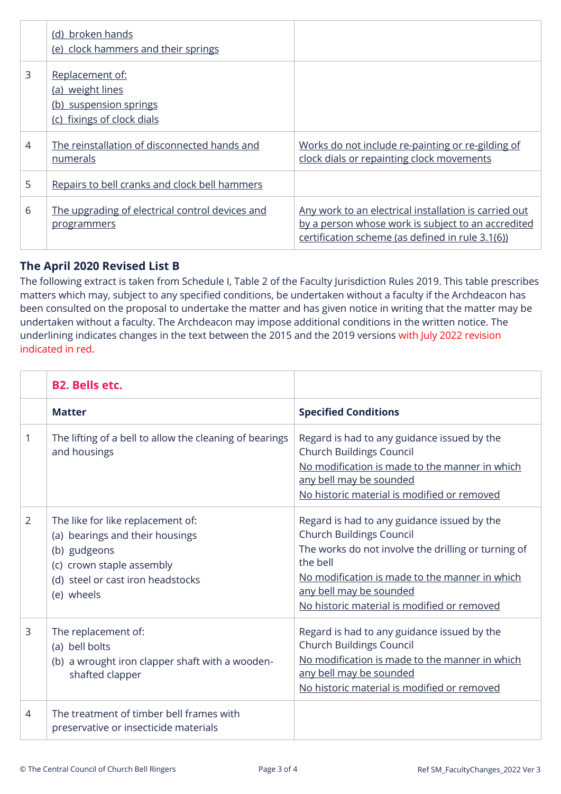|                | (d) broken hands<br>(e) clock hammers and their springs                                     |                                                                                                                                                                 |
|----------------|---------------------------------------------------------------------------------------------|-----------------------------------------------------------------------------------------------------------------------------------------------------------------|
| 3              | Replacement of:<br>(a) weight lines<br>(b) suspension springs<br>(c) fixings of clock dials |                                                                                                                                                                 |
| $\overline{4}$ | The reinstallation of disconnected hands and<br>numerals                                    | Works do not include re-painting or re-gilding of<br>clock dials or repainting clock movements                                                                  |
| 5              | Repairs to bell cranks and clock bell hammers                                               |                                                                                                                                                                 |
| 6              | The upgrading of electrical control devices and<br><u>programmers</u>                       | Any work to an electrical installation is carried out<br>by a person whose work is subject to an accredited<br>certification scheme (as defined in rule 3.1(6)) |

#### **The April 2020 Revised List B**

The following extract is taken from Schedule I, Table 2 of the Faculty Jurisdiction Rules 2019. This table prescribes matters which may, subject to any specified conditions, be undertaken without a faculty if the Archdeacon has been consulted on the proposal to undertake the matter and has given notice in writing that the matter may be undertaken without a faculty. The Archdeacon may impose additional conditions in the written notice. The underlining indicates changes in the text between the 2015 and the 2019 versions with July 2022 revision indicated in red.

|                | <b>B2. Bells etc.</b>                                                                                                                                                |                                                                                                                                                                                                                                                                               |
|----------------|----------------------------------------------------------------------------------------------------------------------------------------------------------------------|-------------------------------------------------------------------------------------------------------------------------------------------------------------------------------------------------------------------------------------------------------------------------------|
|                | <b>Matter</b>                                                                                                                                                        | <b>Specified Conditions</b>                                                                                                                                                                                                                                                   |
| 1              | The lifting of a bell to allow the cleaning of bearings<br>and housings                                                                                              | Regard is had to any guidance issued by the<br><b>Church Buildings Council</b><br>No modification is made to the manner in which<br>any bell may be sounded<br>No historic material is modified or removed                                                                    |
| $\overline{2}$ | The like for like replacement of:<br>(a) bearings and their housings<br>(b) gudgeons<br>(c) crown staple assembly<br>(d) steel or cast iron headstocks<br>(e) wheels | Regard is had to any guidance issued by the<br><b>Church Buildings Council</b><br>The works do not involve the drilling or turning of<br>the bell<br>No modification is made to the manner in which<br>any bell may be sounded<br>No historic material is modified or removed |
| 3              | The replacement of:<br>(a) bell bolts<br>(b) a wrought iron clapper shaft with a wooden-<br>shafted clapper                                                          | Regard is had to any guidance issued by the<br><b>Church Buildings Council</b><br>No modification is made to the manner in which<br>any bell may be sounded<br>No historic material is modified or removed                                                                    |
| $\overline{4}$ | The treatment of timber bell frames with<br>preservative or insecticide materials                                                                                    |                                                                                                                                                                                                                                                                               |